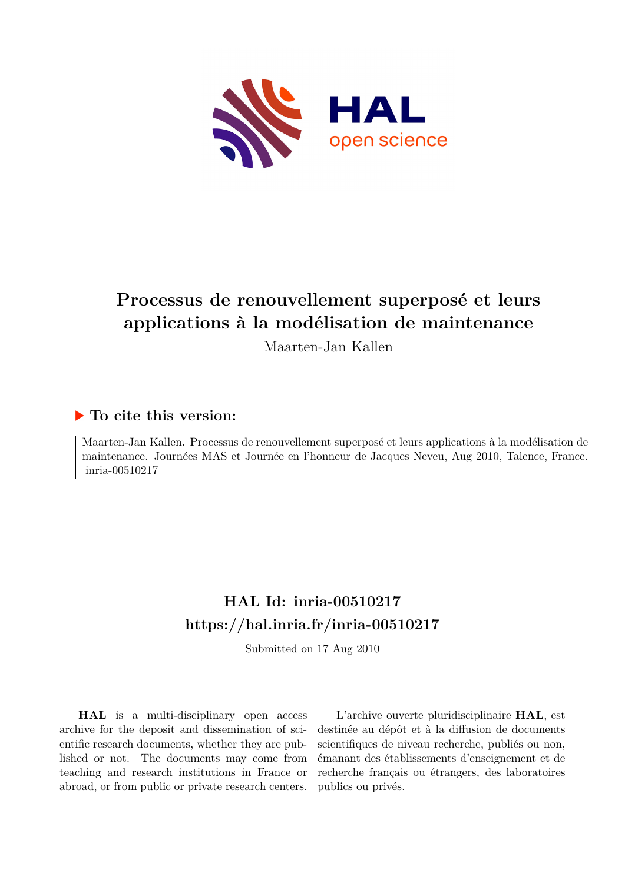

# **Processus de renouvellement superposé et leurs applications à la modélisation de maintenance**

Maarten-Jan Kallen

## **To cite this version:**

Maarten-Jan Kallen. Processus de renouvellement superposé et leurs applications à la modélisation de maintenance. Journées MAS et Journée en l'honneur de Jacques Neveu, Aug 2010, Talence, France.  $inria-00510217$ 

## **HAL Id: inria-00510217 <https://hal.inria.fr/inria-00510217>**

Submitted on 17 Aug 2010

**HAL** is a multi-disciplinary open access archive for the deposit and dissemination of scientific research documents, whether they are published or not. The documents may come from teaching and research institutions in France or abroad, or from public or private research centers.

L'archive ouverte pluridisciplinaire **HAL**, est destinée au dépôt et à la diffusion de documents scientifiques de niveau recherche, publiés ou non, émanant des établissements d'enseignement et de recherche français ou étrangers, des laboratoires publics ou privés.